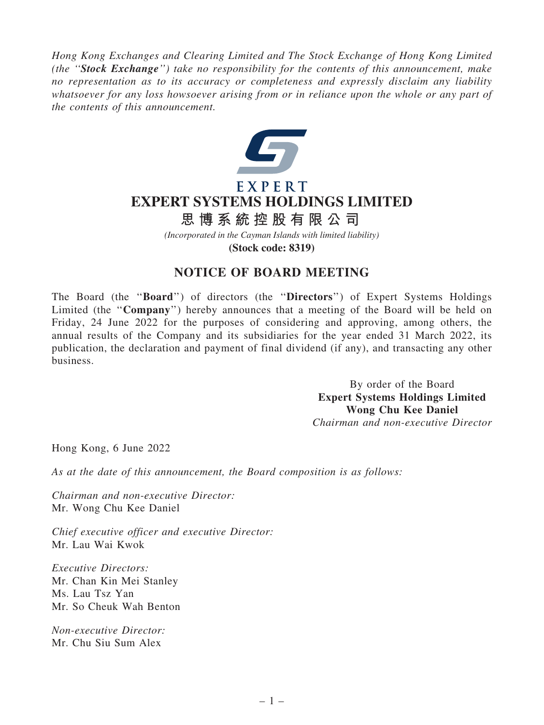*Hong Kong Exchanges and Clearing Limited and The Stock Exchange of Hong Kong Limited (the* ''Stock Exchange''*) take no responsibility for the contents of this announcement, make no representation as to its accuracy or completeness and expressly disclaim any liability whatsoever for any loss howsoever arising from or in reliance upon the whole or any part of the contents of this announcement.*



## EXPERT **EXPERT SYSTEMS HOLDINGS LIMITED**

## **思 博 系 統 控 股 有 限 公 司**

*(Incorporated in the Cayman Islands with limited liability)*

**(Stock code: 8319)**

## NOTICE OF BOARD MEETING

The Board (the ''Board'') of directors (the ''Directors'') of Expert Systems Holdings Limited (the "Company") hereby announces that a meeting of the Board will be held on Friday, 24 June 2022 for the purposes of considering and approving, among others, the annual results of the Company and its subsidiaries for the year ended 31 March 2022, its publication, the declaration and payment of final dividend (if any), and transacting any other business.

> By order of the Board Expert Systems Holdings Limited Wong Chu Kee Daniel *Chairman and non-executive Director*

Hong Kong, 6 June 2022

*As at the date of this announcement, the Board composition is as follows:*

*Chairman and non-executive Director:* Mr. Wong Chu Kee Daniel

*Chief executive officer and executive Director:* Mr. Lau Wai Kwok

*Executive Directors:* Mr. Chan Kin Mei Stanley Ms. Lau Tsz Yan Mr. So Cheuk Wah Benton

*Non-executive Director:* Mr. Chu Siu Sum Alex